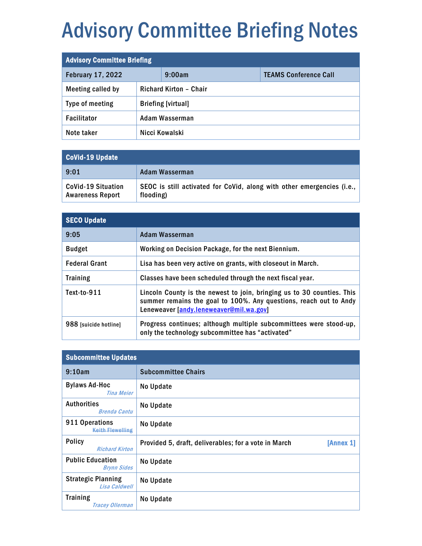## Advisory Committee Briefing Notes

| <b>Advisory Committee Briefing</b> |                        |                           |                              |
|------------------------------------|------------------------|---------------------------|------------------------------|
| <b>February 17, 2022</b>           |                        | 9:00am                    | <b>TEAMS Conference Call</b> |
| Meeting called by                  | Richard Kirton - Chair |                           |                              |
| Type of meeting                    |                        | <b>Briefing [virtual]</b> |                              |
| Facilitator                        | Adam Wasserman         |                           |                              |
| Note taker                         |                        | Nicci Kowalski            |                              |

| CoVid-19 Update                                      |                                                                                     |  |
|------------------------------------------------------|-------------------------------------------------------------------------------------|--|
| 9:01                                                 | Adam Wasserman                                                                      |  |
| <b>CoVid-19 Situation</b><br><b>Awareness Report</b> | SEOC is still activated for CoVid, along with other emergencies (i.e.,<br>flooding) |  |

| <b>SECO Update</b>    |                                                                                                                                                                                        |
|-----------------------|----------------------------------------------------------------------------------------------------------------------------------------------------------------------------------------|
| 9:05                  | Adam Wasserman                                                                                                                                                                         |
| <b>Budget</b>         | Working on Decision Package, for the next Biennium.                                                                                                                                    |
| <b>Federal Grant</b>  | Lisa has been very active on grants, with closeout in March.                                                                                                                           |
| <b>Training</b>       | Classes have been scheduled through the next fiscal year.                                                                                                                              |
| Text-to-911           | Lincoln County is the newest to join, bringing us to 30 counties. This<br>summer remains the goal to 100%. Any questions, reach out to Andy<br>Leneweaver [andy.leneweaver@mil.wa.gov] |
| 988 [suicide hotline] | Progress continues; although multiple subcommittees were stood-up,<br>only the technology subcommittee has "activated"                                                                 |

| <b>Subcommittee Updates</b>                   |                                                                   |
|-----------------------------------------------|-------------------------------------------------------------------|
| 9:10am                                        | <b>Subcommittee Chairs</b>                                        |
| <b>Bylaws Ad-Hoc</b><br><b>Tina Meier</b>     | No Update                                                         |
| <b>Authorities</b><br><b>Brenda Cantu</b>     | No Update                                                         |
| 911 Operations<br><b>Keith Flewelling</b>     | No Update                                                         |
| <b>Policy</b><br><b>Richard Kirton</b>        | Provided 5, draft, deliverables; for a vote in March<br>[Annex 1] |
| <b>Public Education</b><br><b>Brynn Sides</b> | No Update                                                         |
| <b>Strategic Planning</b><br>Lisa Caldwell    | No Update                                                         |
| <b>Training</b><br><b>Tracey Ollerman</b>     | No Update                                                         |